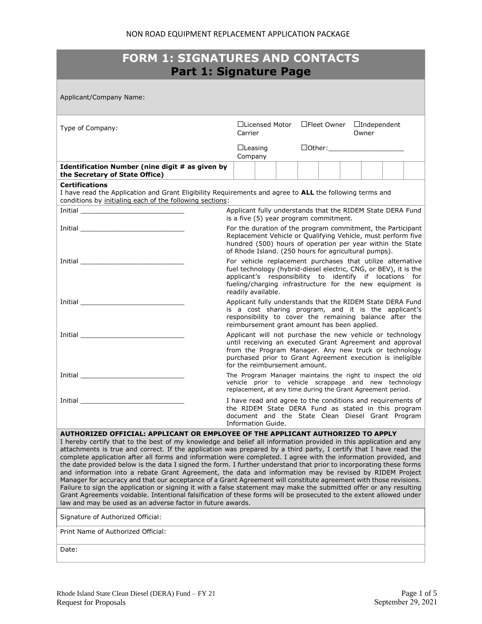| <b>FORM 1: SIGNATURES AND CONTACTS</b><br><b>Part 1: Signature Page</b>                                                                                                                                                                                                                                                                                                                                                                                                                                                                                                                                                                                                                                                                                                                                                                                                                                                                                                                                                                                                                                       |                                                                                                                                                                                                                                                                               |  |  |  |  |                                               |  |  |
|---------------------------------------------------------------------------------------------------------------------------------------------------------------------------------------------------------------------------------------------------------------------------------------------------------------------------------------------------------------------------------------------------------------------------------------------------------------------------------------------------------------------------------------------------------------------------------------------------------------------------------------------------------------------------------------------------------------------------------------------------------------------------------------------------------------------------------------------------------------------------------------------------------------------------------------------------------------------------------------------------------------------------------------------------------------------------------------------------------------|-------------------------------------------------------------------------------------------------------------------------------------------------------------------------------------------------------------------------------------------------------------------------------|--|--|--|--|-----------------------------------------------|--|--|
| Applicant/Company Name:                                                                                                                                                                                                                                                                                                                                                                                                                                                                                                                                                                                                                                                                                                                                                                                                                                                                                                                                                                                                                                                                                       |                                                                                                                                                                                                                                                                               |  |  |  |  |                                               |  |  |
| Type of Company:                                                                                                                                                                                                                                                                                                                                                                                                                                                                                                                                                                                                                                                                                                                                                                                                                                                                                                                                                                                                                                                                                              | □Licensed Motor □Fleet Owner □Independent<br>Carrier                                                                                                                                                                                                                          |  |  |  |  | Owner                                         |  |  |
|                                                                                                                                                                                                                                                                                                                                                                                                                                                                                                                                                                                                                                                                                                                                                                                                                                                                                                                                                                                                                                                                                                               | $\Box$ Leasing<br>Company                                                                                                                                                                                                                                                     |  |  |  |  | $\boxed{\text{Other:}\_\_\_\_\_\_\_\_\_\_\_}$ |  |  |
| Identification Number (nine digit # as given by<br>the Secretary of State Office)                                                                                                                                                                                                                                                                                                                                                                                                                                                                                                                                                                                                                                                                                                                                                                                                                                                                                                                                                                                                                             |                                                                                                                                                                                                                                                                               |  |  |  |  |                                               |  |  |
| <b>Certifications</b><br>I have read the Application and Grant Eligibility Requirements and agree to ALL the following terms and<br>conditions by initialing each of the following sections:                                                                                                                                                                                                                                                                                                                                                                                                                                                                                                                                                                                                                                                                                                                                                                                                                                                                                                                  |                                                                                                                                                                                                                                                                               |  |  |  |  |                                               |  |  |
|                                                                                                                                                                                                                                                                                                                                                                                                                                                                                                                                                                                                                                                                                                                                                                                                                                                                                                                                                                                                                                                                                                               | Applicant fully understands that the RIDEM State DERA Fund<br>is a five (5) year program commitment.                                                                                                                                                                          |  |  |  |  |                                               |  |  |
| <u>Initial ___________________________________</u>                                                                                                                                                                                                                                                                                                                                                                                                                                                                                                                                                                                                                                                                                                                                                                                                                                                                                                                                                                                                                                                            | For the duration of the program commitment, the Participant<br>Replacement Vehicle or Qualifying Vehicle, must perform five<br>hundred (500) hours of operation per year within the State<br>of Rhode Island. (250 hours for agricultural pumps).                             |  |  |  |  |                                               |  |  |
| <b>Initial</b> contract the contract of the contract of the contract of the contract of the contract of the contract of the contract of the contract of the contract of the contract of the contract of the contract of the contrac                                                                                                                                                                                                                                                                                                                                                                                                                                                                                                                                                                                                                                                                                                                                                                                                                                                                           | For vehicle replacement purchases that utilize alternative<br>fuel technology (hybrid-diesel electric, CNG, or BEV), it is the<br>applicant's responsibility to identify if locations for<br>fueling/charging infrastructure for the new equipment is<br>readily available.   |  |  |  |  |                                               |  |  |
|                                                                                                                                                                                                                                                                                                                                                                                                                                                                                                                                                                                                                                                                                                                                                                                                                                                                                                                                                                                                                                                                                                               | Applicant fully understands that the RIDEM State DERA Fund<br>is a cost sharing program, and it is the applicant's<br>responsibility to cover the remaining balance after the<br>reimbursement grant amount has been applied.                                                 |  |  |  |  |                                               |  |  |
|                                                                                                                                                                                                                                                                                                                                                                                                                                                                                                                                                                                                                                                                                                                                                                                                                                                                                                                                                                                                                                                                                                               | Applicant will not purchase the new vehicle or technology<br>until receiving an executed Grant Agreement and approval<br>from the Program Manager. Any new truck or technology<br>purchased prior to Grant Agreement execution is ineligible<br>for the reimbursement amount. |  |  |  |  |                                               |  |  |
| Initial and the contract of the contract of the contract of the contract of the contract of the contract of the                                                                                                                                                                                                                                                                                                                                                                                                                                                                                                                                                                                                                                                                                                                                                                                                                                                                                                                                                                                               | The Program Manager maintains the right to inspect the old<br>vehicle prior to vehicle scrappage and new technology<br>replacement, at any time during the Grant Agreement period.                                                                                            |  |  |  |  |                                               |  |  |
| Initial                                                                                                                                                                                                                                                                                                                                                                                                                                                                                                                                                                                                                                                                                                                                                                                                                                                                                                                                                                                                                                                                                                       | I have read and agree to the conditions and requirements of<br>the RIDEM State DERA Fund as stated in this program<br>document and the State Clean Diesel Grant Program<br>Information Guide.                                                                                 |  |  |  |  |                                               |  |  |
| AUTHORIZED OFFICIAL: APPLICANT OR EMPLOYEE OF THE APPLICANT AUTHORIZED TO APPLY<br>I hereby certify that to the best of my knowledge and belief all information provided in this application and any<br>attachments is true and correct. If the application was prepared by a third party, I certify that I have read the<br>complete application after all forms and information were completed. I agree with the information provided, and<br>the date provided below is the data I signed the form. I further understand that prior to incorporating these forms<br>and information into a rebate Grant Agreement, the data and information may be revised by RIDEM Project<br>Manager for accuracy and that our acceptance of a Grant Agreement will constitute agreement with those revisions.<br>Failure to sign the application or signing it with a false statement may make the submitted offer or any resulting<br>Grant Agreements voidable. Intentional falsification of these forms will be prosecuted to the extent allowed under<br>law and may be used as an adverse factor in future awards. |                                                                                                                                                                                                                                                                               |  |  |  |  |                                               |  |  |
| Signature of Authorized Official:                                                                                                                                                                                                                                                                                                                                                                                                                                                                                                                                                                                                                                                                                                                                                                                                                                                                                                                                                                                                                                                                             |                                                                                                                                                                                                                                                                               |  |  |  |  |                                               |  |  |
| Print Name of Authorized Official:                                                                                                                                                                                                                                                                                                                                                                                                                                                                                                                                                                                                                                                                                                                                                                                                                                                                                                                                                                                                                                                                            |                                                                                                                                                                                                                                                                               |  |  |  |  |                                               |  |  |
| Date:                                                                                                                                                                                                                                                                                                                                                                                                                                                                                                                                                                                                                                                                                                                                                                                                                                                                                                                                                                                                                                                                                                         |                                                                                                                                                                                                                                                                               |  |  |  |  |                                               |  |  |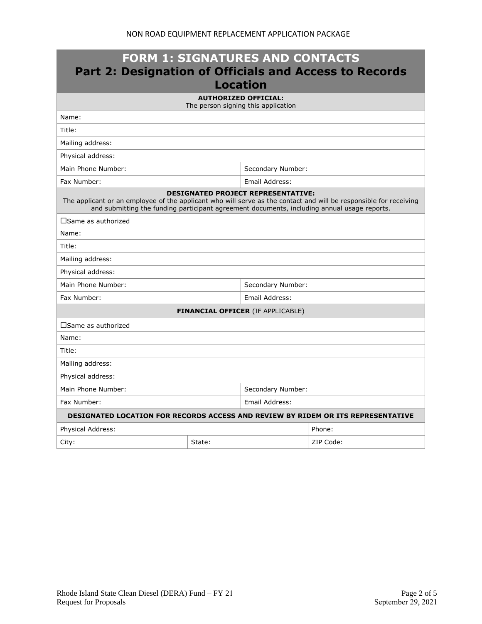| <b>FORM 1: SIGNATURES AND CONTACTS</b><br><b>Part 2: Designation of Officials and Access to Records</b><br><b>Location</b>                                                                                                                                    |        |                                          |           |  |  |  |  |
|---------------------------------------------------------------------------------------------------------------------------------------------------------------------------------------------------------------------------------------------------------------|--------|------------------------------------------|-----------|--|--|--|--|
| <b>AUTHORIZED OFFICIAL:</b><br>The person signing this application                                                                                                                                                                                            |        |                                          |           |  |  |  |  |
| Name:                                                                                                                                                                                                                                                         |        |                                          |           |  |  |  |  |
| Title:                                                                                                                                                                                                                                                        |        |                                          |           |  |  |  |  |
| Mailing address:                                                                                                                                                                                                                                              |        |                                          |           |  |  |  |  |
| Physical address:                                                                                                                                                                                                                                             |        |                                          |           |  |  |  |  |
| Main Phone Number:                                                                                                                                                                                                                                            |        | Secondary Number:                        |           |  |  |  |  |
| Fax Number:                                                                                                                                                                                                                                                   |        | Email Address:                           |           |  |  |  |  |
| <b>DESIGNATED PROJECT REPRESENTATIVE:</b><br>The applicant or an employee of the applicant who will serve as the contact and will be responsible for receiving<br>and submitting the funding participant agreement documents, including annual usage reports. |        |                                          |           |  |  |  |  |
| $\square$ Same as authorized                                                                                                                                                                                                                                  |        |                                          |           |  |  |  |  |
| Name:                                                                                                                                                                                                                                                         |        |                                          |           |  |  |  |  |
| Title:                                                                                                                                                                                                                                                        |        |                                          |           |  |  |  |  |
| Mailing address:                                                                                                                                                                                                                                              |        |                                          |           |  |  |  |  |
| Physical address:                                                                                                                                                                                                                                             |        |                                          |           |  |  |  |  |
| Main Phone Number:                                                                                                                                                                                                                                            |        | Secondary Number:                        |           |  |  |  |  |
| Fax Number:                                                                                                                                                                                                                                                   |        | Email Address:                           |           |  |  |  |  |
|                                                                                                                                                                                                                                                               |        | <b>FINANCIAL OFFICER (IF APPLICABLE)</b> |           |  |  |  |  |
| $\square$ Same as authorized                                                                                                                                                                                                                                  |        |                                          |           |  |  |  |  |
| Name:                                                                                                                                                                                                                                                         |        |                                          |           |  |  |  |  |
| Title:                                                                                                                                                                                                                                                        |        |                                          |           |  |  |  |  |
| Mailing address:                                                                                                                                                                                                                                              |        |                                          |           |  |  |  |  |
| Physical address:                                                                                                                                                                                                                                             |        |                                          |           |  |  |  |  |
| Main Phone Number:                                                                                                                                                                                                                                            |        | Secondary Number:                        |           |  |  |  |  |
| Fax Number:                                                                                                                                                                                                                                                   |        | Email Address:                           |           |  |  |  |  |
| DESIGNATED LOCATION FOR RECORDS ACCESS AND REVIEW BY RIDEM OR ITS REPRESENTATIVE                                                                                                                                                                              |        |                                          |           |  |  |  |  |
| Physical Address:                                                                                                                                                                                                                                             |        |                                          | Phone:    |  |  |  |  |
| City:                                                                                                                                                                                                                                                         | State: |                                          | ZIP Code: |  |  |  |  |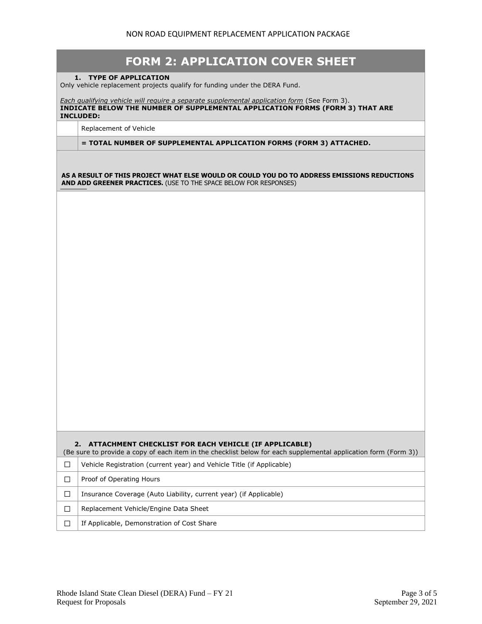|        | <b>FORM 2: APPLICATION COVER SHEET</b>                                                                                                                                                           |
|--------|--------------------------------------------------------------------------------------------------------------------------------------------------------------------------------------------------|
|        | 1. TYPE OF APPLICATION<br>Only vehicle replacement projects qualify for funding under the DERA Fund.                                                                                             |
|        | Each qualifying vehicle will require a separate supplemental application form (See Form 3).<br>INDICATE BELOW THE NUMBER OF SUPPLEMENTAL APPLICATION FORMS (FORM 3) THAT ARE<br><b>INCLUDED:</b> |
|        | Replacement of Vehicle                                                                                                                                                                           |
|        | = TOTAL NUMBER OF SUPPLEMENTAL APPLICATION FORMS (FORM 3) ATTACHED.                                                                                                                              |
|        | AS A RESULT OF THIS PROJECT WHAT ELSE WOULD OR COULD YOU DO TO ADDRESS EMISSIONS REDUCTIONS<br>AND ADD GREENER PRACTICES. (USE TO THE SPACE BELOW FOR RESPONSES)                                 |
|        |                                                                                                                                                                                                  |
|        |                                                                                                                                                                                                  |
|        | 2. ATTACHMENT CHECKLIST FOR EACH VEHICLE (IF APPLICABLE)<br>(Be sure to provide a copy of each item in the checklist below for each supplemental application form (Form 3))                      |
| $\Box$ | Vehicle Registration (current year) and Vehicle Title (if Applicable)                                                                                                                            |
| □      | Proof of Operating Hours                                                                                                                                                                         |
| П      | Insurance Coverage (Auto Liability, current year) (if Applicable)                                                                                                                                |
| П      | Replacement Vehicle/Engine Data Sheet                                                                                                                                                            |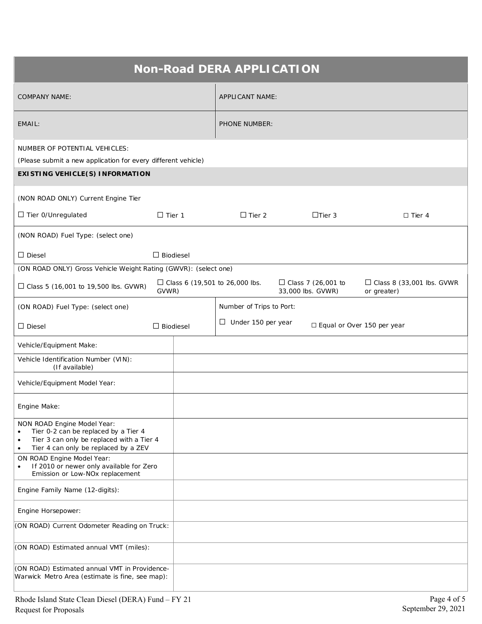| <b>Non-Road DERA APPLICATION</b>                                                                                                                                                                |                  |  |                                  |  |                                                |                                                 |  |  |
|-------------------------------------------------------------------------------------------------------------------------------------------------------------------------------------------------|------------------|--|----------------------------------|--|------------------------------------------------|-------------------------------------------------|--|--|
| <b>COMPANY NAME:</b>                                                                                                                                                                            |                  |  | <b>APPLICANT NAME:</b>           |  |                                                |                                                 |  |  |
| EMAIL:                                                                                                                                                                                          |                  |  | <b>PHONE NUMBER:</b>             |  |                                                |                                                 |  |  |
| NUMBER OF POTENTIAL VEHICLES:<br>(Please submit a new application for every different vehicle)                                                                                                  |                  |  |                                  |  |                                                |                                                 |  |  |
| <b>EXISTING VEHICLE(S) INFORMATION</b>                                                                                                                                                          |                  |  |                                  |  |                                                |                                                 |  |  |
| (NON ROAD ONLY) Current Engine Tier                                                                                                                                                             |                  |  |                                  |  |                                                |                                                 |  |  |
| $\Box$ Tier 0/Unregulated                                                                                                                                                                       | $\Box$ Tier 1    |  | $\Box$ Tier 2                    |  | $\Box$ Tier 3                                  | $\Box$ Tier 4                                   |  |  |
| (NON ROAD) Fuel Type: (select one)                                                                                                                                                              |                  |  |                                  |  |                                                |                                                 |  |  |
| $\Box$ Diesel                                                                                                                                                                                   | $\Box$ Biodiesel |  |                                  |  |                                                |                                                 |  |  |
| (ON ROAD ONLY) Gross Vehicle Weight Rating (GWVR): (select one)                                                                                                                                 |                  |  |                                  |  |                                                |                                                 |  |  |
| $\Box$ Class 5 (16,001 to 19,500 lbs. GVWR)                                                                                                                                                     | GVWR)            |  | □ Class 6 (19,501 to 26,000 lbs. |  | $\Box$ Class 7 (26,001 to<br>33,000 lbs. GVWR) | $\Box$ Class 8 (33,001 lbs. GVWR<br>or greater) |  |  |
| (ON ROAD) Fuel Type: (select one)                                                                                                                                                               |                  |  | Number of Trips to Port:         |  |                                                |                                                 |  |  |
| $\Box$ Diesel                                                                                                                                                                                   | $\Box$ Biodiesel |  | $\Box$ Under 150 per year        |  |                                                | □ Equal or Over 150 per year                    |  |  |
| Vehicle/Equipment Make:                                                                                                                                                                         |                  |  |                                  |  |                                                |                                                 |  |  |
| Vehicle Identification Number (VIN):<br>(If available)                                                                                                                                          |                  |  |                                  |  |                                                |                                                 |  |  |
| Vehicle/Equipment Model Year:                                                                                                                                                                   |                  |  |                                  |  |                                                |                                                 |  |  |
| Engine Make:                                                                                                                                                                                    |                  |  |                                  |  |                                                |                                                 |  |  |
| NON ROAD Engine Model Year:<br>Tier 0-2 can be replaced by a Tier 4<br>$\bullet$<br>Tier 3 can only be replaced with a Tier 4<br>$\bullet$<br>Tier 4 can only be replaced by a ZEV<br>$\bullet$ |                  |  |                                  |  |                                                |                                                 |  |  |
| ON ROAD Engine Model Year:<br>If 2010 or newer only available for Zero<br>٠<br>Emission or Low-NOx replacement                                                                                  |                  |  |                                  |  |                                                |                                                 |  |  |
| Engine Family Name (12-digits):                                                                                                                                                                 |                  |  |                                  |  |                                                |                                                 |  |  |
| Engine Horsepower:                                                                                                                                                                              |                  |  |                                  |  |                                                |                                                 |  |  |
| (ON ROAD) Current Odometer Reading on Truck:                                                                                                                                                    |                  |  |                                  |  |                                                |                                                 |  |  |
| (ON ROAD) Estimated annual VMT (miles):                                                                                                                                                         |                  |  |                                  |  |                                                |                                                 |  |  |
| (ON ROAD) Estimated annual VMT in Providence-<br>Warwick Metro Area (estimate is fine, see map):                                                                                                |                  |  |                                  |  |                                                |                                                 |  |  |